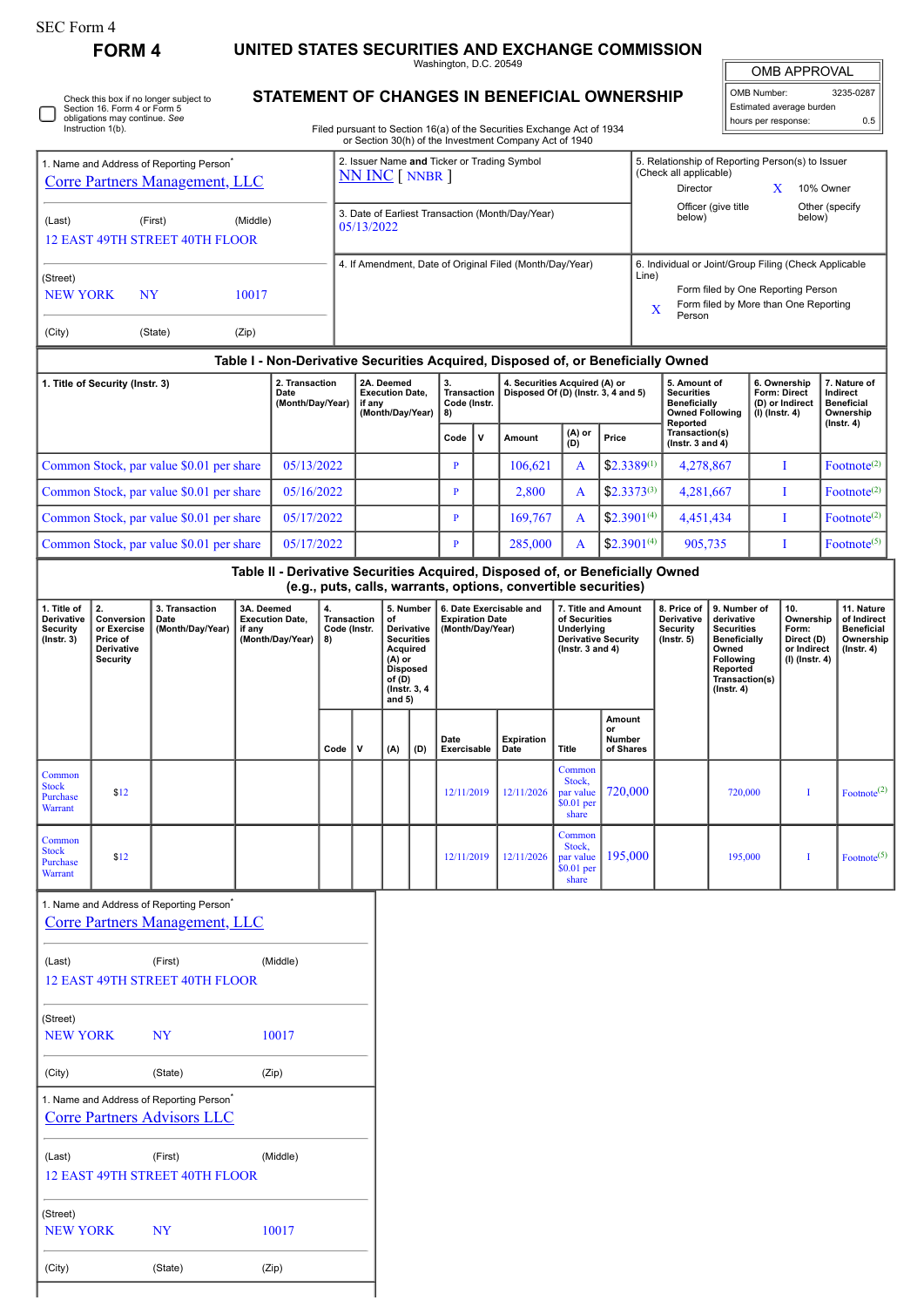**FORM 4 UNITED STATES SECURITIES AND EXCHANGE COMMISSION** Washington, D.C. 20549

 $\mathbb{I}$ OMB APPROVAL

| OMB Number:              | 3235-0287 |
|--------------------------|-----------|
| Estimated average burden |           |
| hours per response:      | 0.5       |

|  | Check this box if no longer subject to<br>Section 16. Form 4 or Form 5<br>obligations may continue. See<br>Instruction 1(b). |
|--|------------------------------------------------------------------------------------------------------------------------------|
|--|------------------------------------------------------------------------------------------------------------------------------|

1. Name and Address of Reporting Person<sup>\*</sup>

(City) (State) (Zip)

## **STATEMENT OF CHANGES IN BENEFICIAL OWNERSHIP**

Filed pursuant to Section 16(a) of the Securities Exchange Act of 1934 or Section 30(h) of the Investment Company Act of 1940

2. Issuer Name **and** Ticker or Trading Symbol

| 1. Name and Address of Reporting Person <sup>7</sup><br><b>Corre Partners Management, LLC</b> |                                                                              |                                                                                               |                      |                                            | 2. Issuer Name and Ticker or Trading Symbol<br>NN INC [ NNBR ]     |                                                                |                                         |                                                                                             |                                                                                                                                                                                   |         |                                                                                  |                                                                                                | 5. Relationship of Reporting Person(s) to Issuer<br>(Check all applicable)<br>Director<br>10% Owner<br>X                                                                                                    |                                                                     |                                                                          |                                                                                |                                                                                 |                                                    |
|-----------------------------------------------------------------------------------------------|------------------------------------------------------------------------------|-----------------------------------------------------------------------------------------------|----------------------|--------------------------------------------|--------------------------------------------------------------------|----------------------------------------------------------------|-----------------------------------------|---------------------------------------------------------------------------------------------|-----------------------------------------------------------------------------------------------------------------------------------------------------------------------------------|---------|----------------------------------------------------------------------------------|------------------------------------------------------------------------------------------------|-------------------------------------------------------------------------------------------------------------------------------------------------------------------------------------------------------------|---------------------------------------------------------------------|--------------------------------------------------------------------------|--------------------------------------------------------------------------------|---------------------------------------------------------------------------------|----------------------------------------------------|
| (Middle)<br>(Last)<br>(First)<br><b>12 EAST 49TH STREET 40TH FLOOR</b>                        |                                                                              |                                                                                               |                      |                                            |                                                                    | 3. Date of Earliest Transaction (Month/Day/Year)<br>05/13/2022 |                                         |                                                                                             |                                                                                                                                                                                   |         |                                                                                  |                                                                                                |                                                                                                                                                                                                             | below)                                                              | Officer (give title                                                      |                                                                                | below)                                                                          | Other (specify                                     |
| (Street)<br><b>NEW YORK</b><br>NY<br>10017                                                    |                                                                              |                                                                                               |                      |                                            | 4. If Amendment, Date of Original Filed (Month/Day/Year)           |                                                                |                                         |                                                                                             |                                                                                                                                                                                   |         |                                                                                  |                                                                                                | 6. Individual or Joint/Group Filing (Check Applicable<br>Line)<br>Form filed by One Reporting Person<br>Form filed by More than One Reporting<br>X<br>Person                                                |                                                                     |                                                                          |                                                                                |                                                                                 |                                                    |
| (City)                                                                                        |                                                                              | (State)                                                                                       | (Zip)                |                                            |                                                                    |                                                                |                                         |                                                                                             |                                                                                                                                                                                   |         |                                                                                  |                                                                                                |                                                                                                                                                                                                             |                                                                     |                                                                          |                                                                                |                                                                                 |                                                    |
|                                                                                               |                                                                              |                                                                                               |                      |                                            |                                                                    |                                                                |                                         |                                                                                             |                                                                                                                                                                                   |         | Table I - Non-Derivative Securities Acquired, Disposed of, or Beneficially Owned |                                                                                                |                                                                                                                                                                                                             |                                                                     |                                                                          |                                                                                |                                                                                 |                                                    |
| 2. Transaction<br>1. Title of Security (Instr. 3)<br>Date<br>(Month/Day/Year)                 |                                                                              |                                                                                               |                      |                                            | 2A. Deemed<br><b>Execution Date,</b><br>if any<br>(Month/Day/Year) |                                                                | 3.<br>Transaction<br>Code (Instr.<br>8) |                                                                                             | 4. Securities Acquired (A) or<br>Disposed Of (D) (Instr. 3, 4 and 5)                                                                                                              |         |                                                                                  | 5. Amount of<br><b>Securities</b><br><b>Beneficially</b><br><b>Owned Following</b><br>Reported |                                                                                                                                                                                                             | 6. Ownership<br>Form: Direct<br>(D) or Indirect<br>$(I)$ (Instr. 4) |                                                                          | 7. Nature of<br>Indirect<br><b>Beneficial</b><br>Ownership<br>$($ Instr. 4 $)$ |                                                                                 |                                                    |
|                                                                                               |                                                                              |                                                                                               |                      |                                            |                                                                    |                                                                |                                         |                                                                                             | Code                                                                                                                                                                              | v       | Amount                                                                           | $(A)$ or<br>(D)                                                                                | Price                                                                                                                                                                                                       |                                                                     | Transaction(s)<br>(Instr. 3 and $4$ )                                    |                                                                                |                                                                                 |                                                    |
|                                                                                               |                                                                              | Common Stock, par value \$0.01 per share                                                      |                      | 05/13/2022                                 |                                                                    |                                                                |                                         | $\mathbf{P}$                                                                                |                                                                                                                                                                                   | 106,621 | A                                                                                | $$2.3389^{(1)}$                                                                                |                                                                                                                                                                                                             | 4,278,867                                                           |                                                                          | $\mathbf I$                                                                    | Footnote <sup>(2)</sup>                                                         |                                                    |
|                                                                                               |                                                                              | Common Stock, par value \$0.01 per share                                                      |                      | 05/16/2022                                 |                                                                    |                                                                |                                         |                                                                                             | $\mathbf{P}$                                                                                                                                                                      |         | 2,800                                                                            | A                                                                                              | $$2.3373^{(3)}$                                                                                                                                                                                             | 4,281,667<br>4,451,434                                              |                                                                          |                                                                                | I                                                                               | Footnote <sup>(2)</sup>                            |
|                                                                                               |                                                                              | Common Stock, par value \$0.01 per share<br>Common Stock, par value \$0.01 per share          |                      | 05/17/2022<br>05/17/2022                   |                                                                    |                                                                |                                         |                                                                                             | $\mathbf{P}$<br>P                                                                                                                                                                 |         | 169,767<br>285,000                                                               | A<br>A                                                                                         | $$2.3901^{(4)}$<br>$$2.3901^{(4)}$                                                                                                                                                                          |                                                                     |                                                                          |                                                                                | I<br>I                                                                          | Footnote <sup>(2)</sup><br>Footnote <sup>(5)</sup> |
|                                                                                               |                                                                              |                                                                                               |                      |                                            |                                                                    |                                                                |                                         |                                                                                             |                                                                                                                                                                                   |         | Table II - Derivative Securities Acquired, Disposed of, or Beneficially Owned    |                                                                                                |                                                                                                                                                                                                             | 905,735                                                             |                                                                          |                                                                                |                                                                                 |                                                    |
|                                                                                               |                                                                              |                                                                                               |                      |                                            |                                                                    |                                                                |                                         |                                                                                             |                                                                                                                                                                                   |         | (e.g., puts, calls, warrants, options, convertible securities)                   |                                                                                                |                                                                                                                                                                                                             |                                                                     |                                                                          |                                                                                |                                                                                 |                                                    |
| 1. Title of<br>Derivative<br>Security<br>$($ Instr. 3 $)$                                     | 2.<br>Conversion<br>or Exercise<br>Price of<br>Derivative<br><b>Security</b> | 3. Transaction<br>Date<br>(Month/Day/Year)                                                    | 3A. Deemed<br>if any | <b>Execution Date,</b><br>(Month/Day/Year) | 4.<br><b>Transaction</b><br>Code (Instr.<br>8)                     |                                                                | of<br>$(A)$ or<br>of (D)<br>and $5)$    | 5. Number<br>Derivative<br><b>Securities</b><br>Acquired<br><b>Disposed</b><br>(Instr. 3, 4 | 6. Date Exercisable and<br>7. Title and Amount<br><b>Expiration Date</b><br>of Securities<br>Underlying<br>(Month/Day/Year)<br><b>Derivative Security</b><br>( $lnstr. 3 and 4$ ) |         |                                                                                  |                                                                                                | 8. Price of<br>9. Number of<br>Derivative<br>derivative<br>Security<br><b>Securities</b><br>$($ Instr. 5 $)$<br><b>Beneficially</b><br>Owned<br>Following<br>Reported<br>Transaction(s)<br>$($ Instr. 4 $)$ |                                                                     | 10.<br>Ownership<br>Form:<br>Direct (D)<br>or Indirect<br>(I) (Instr. 4) |                                                                                | 11. Nature<br>of Indirect<br><b>Beneficial</b><br>Ownership<br>$($ Instr. 4 $)$ |                                                    |
|                                                                                               |                                                                              |                                                                                               |                      |                                            | Code                                                               | v                                                              | (A)                                     | (D)                                                                                         | Date<br>Exercisable                                                                                                                                                               |         | <b>Expiration</b><br>Date                                                        | <b>Title</b>                                                                                   | Amount<br>or<br><b>Number</b><br>of Shares                                                                                                                                                                  |                                                                     |                                                                          |                                                                                |                                                                                 |                                                    |
| Common<br><b>Stock</b><br>Purchase<br><b>Warrant</b>                                          | \$12                                                                         |                                                                                               |                      |                                            |                                                                    |                                                                |                                         |                                                                                             | 12/11/2019                                                                                                                                                                        |         | 12/11/2026                                                                       | Common<br>Stock,<br>par value<br>$$0.01$ per<br>share                                          | 720,000                                                                                                                                                                                                     |                                                                     | 720,000                                                                  |                                                                                | I                                                                               | Footnote <sup>(2)</sup>                            |
| Common<br><b>Stock</b><br>Purchase<br>Warrant                                                 | \$12                                                                         |                                                                                               |                      |                                            |                                                                    |                                                                |                                         |                                                                                             | 12/11/2019                                                                                                                                                                        |         | 12/11/2026                                                                       | Common<br>Stock,<br>par value<br>$$0.01$ per<br>share                                          | 195,000                                                                                                                                                                                                     |                                                                     | 195,000                                                                  |                                                                                |                                                                                 | Footnote <sup>(5)</sup>                            |
|                                                                                               |                                                                              | 1. Name and Address of Reporting Person <sup>*</sup><br><b>Corre Partners Management, LLC</b> |                      |                                            |                                                                    |                                                                |                                         |                                                                                             |                                                                                                                                                                                   |         |                                                                                  |                                                                                                |                                                                                                                                                                                                             |                                                                     |                                                                          |                                                                                |                                                                                 |                                                    |
| (Last)                                                                                        |                                                                              | (First)<br>12 EAST 49TH STREET 40TH FLOOR                                                     |                      | (Middle)                                   |                                                                    |                                                                |                                         |                                                                                             |                                                                                                                                                                                   |         |                                                                                  |                                                                                                |                                                                                                                                                                                                             |                                                                     |                                                                          |                                                                                |                                                                                 |                                                    |
| (Street)<br><b>NEW YORK</b>                                                                   |                                                                              | NY                                                                                            |                      | 10017                                      |                                                                    |                                                                |                                         |                                                                                             |                                                                                                                                                                                   |         |                                                                                  |                                                                                                |                                                                                                                                                                                                             |                                                                     |                                                                          |                                                                                |                                                                                 |                                                    |
| (City)                                                                                        |                                                                              | (State)                                                                                       |                      | (Zip)                                      |                                                                    |                                                                |                                         |                                                                                             |                                                                                                                                                                                   |         |                                                                                  |                                                                                                |                                                                                                                                                                                                             |                                                                     |                                                                          |                                                                                |                                                                                 |                                                    |
|                                                                                               |                                                                              | 1. Name and Address of Reporting Person <sup>*</sup><br><b>Corre Partners Advisors LLC</b>    |                      |                                            |                                                                    |                                                                |                                         |                                                                                             |                                                                                                                                                                                   |         |                                                                                  |                                                                                                |                                                                                                                                                                                                             |                                                                     |                                                                          |                                                                                |                                                                                 |                                                    |
| (Last)                                                                                        |                                                                              | (First)<br><b>12 EAST 49TH STREET 40TH FLOOR</b>                                              |                      | (Middle)                                   |                                                                    |                                                                |                                         |                                                                                             |                                                                                                                                                                                   |         |                                                                                  |                                                                                                |                                                                                                                                                                                                             |                                                                     |                                                                          |                                                                                |                                                                                 |                                                    |
| (Street)<br><b>NEW YORK</b>                                                                   |                                                                              | <b>NY</b>                                                                                     |                      | 10017                                      |                                                                    |                                                                |                                         |                                                                                             |                                                                                                                                                                                   |         |                                                                                  |                                                                                                |                                                                                                                                                                                                             |                                                                     |                                                                          |                                                                                |                                                                                 |                                                    |